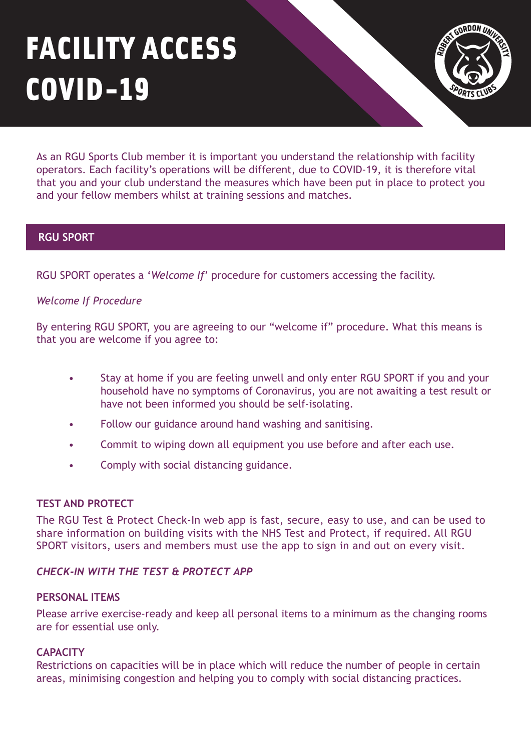# FACILITY ACCESS COVID-19



As an RGU Sports Club member it is important you understand the relationship with facility operators. Each facility's operations will be different, due to COVID-19, it is therefore vital that you and your club understand the measures which have been put in place to protect you and your fellow members whilst at training sessions and matches.

# **RGU SPORT**

RGU SPORT operates a '*Welcome If*' procedure for customers accessing the facility.

# *Welcome If Procedure*

By entering RGU SPORT, you are agreeing to our "welcome if" procedure. What this means is that you are welcome if you agree to:

- Stay at home if you are feeling unwell and only enter RGU SPORT if you and your household have no symptoms of Coronavirus, you are not awaiting a test result or have not been informed you should be self-isolating.
- Follow our guidance around hand washing and sanitising.
- Commit to wiping down all equipment you use before and after each use.
- Comply with social distancing guidance.

## **TEST AND PROTECT**

The RGU Test & Protect Check-In web app is fast, secure, easy to use, and can be used to share information on building visits with the NHS Test and Protect, if required. All RGU SPORT visitors, users and members must use the app to sign in and out on every visit.

## *[CHECK-IN WITH THE TEST & PROTECT APP](https://check-in.rgu.ac.uk/)*

## **PERSONAL ITEMS**

Please arrive exercise-ready and keep all personal items to a minimum as the changing rooms are for essential use only.

# **CAPACITY**

Restrictions on capacities will be in place which will reduce the number of people in certain areas, minimising congestion and helping you to comply with social distancing practices.